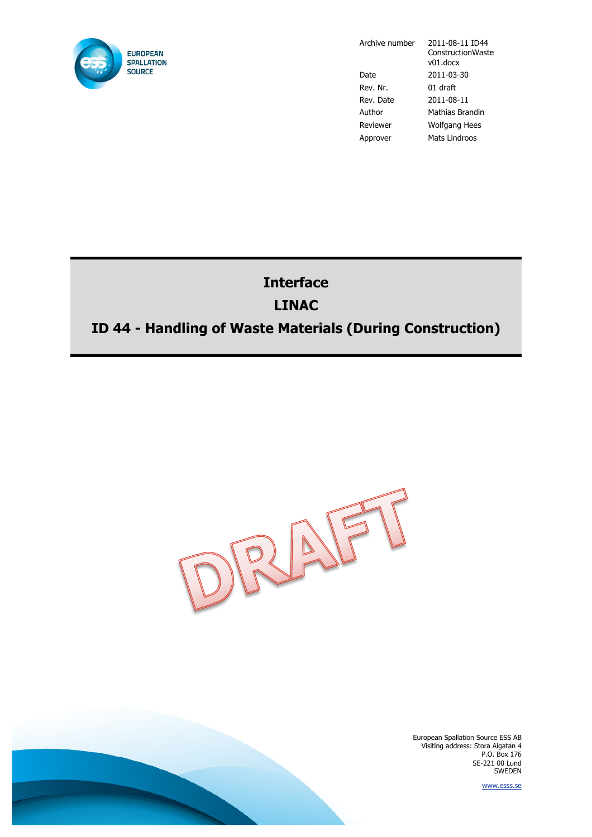

Archive number 2011-08-11 ID44 **ConstructionWaste** v01.docx Date 2011-03-30 Rev. Nr. 01 draft Rev. Date 2011-08-11 Author Mathias Brandin Reviewer Wolfgang Hees Approver Mats Lindroos

## **Interface LINAC**

## **ID 44 - Handling of Waste Materials (During Construction)**



European Spallation Source ESS AB Visiting address: Stora Algatan 4 P.O. Box 176 SE-221 00 Lund SWEDEN

www.esss.se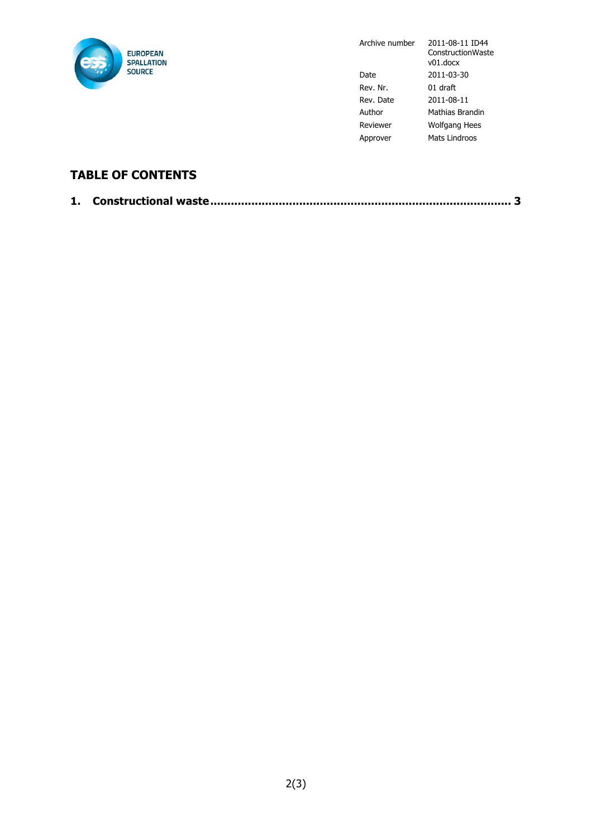

Archive number 2011-08-11 ID44 ConstructionWaste v01.docx Date 2011-03-30 Rev. Nr. 01 draft Rev. Date 2011-08-11 Author Mathias Brandin Reviewer Wolfgang Hees Approver Mats Lindroos

## **TABLE OF CONTENTS**